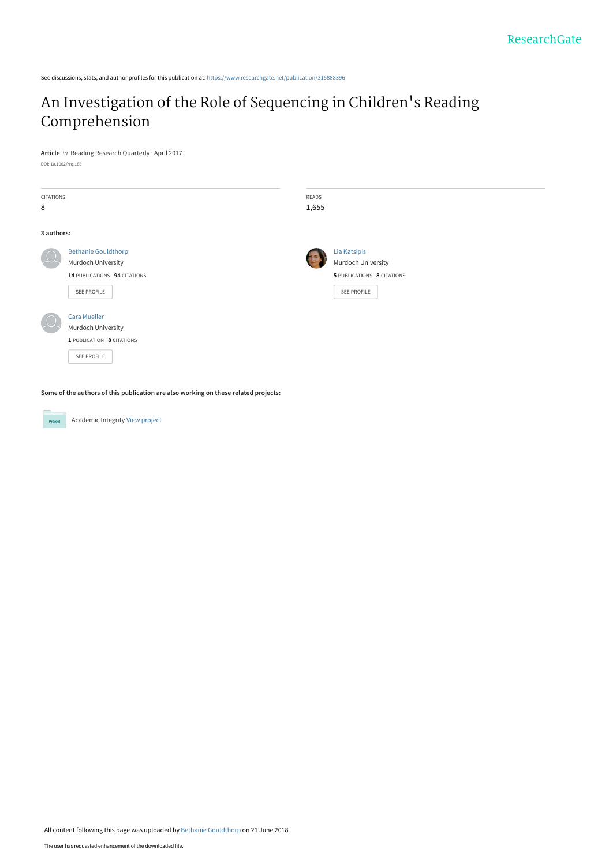See discussions, stats, and author profiles for this publication at: [https://www.researchgate.net/publication/315888396](https://www.researchgate.net/publication/315888396_An_Investigation_of_the_Role_of_Sequencing_in_Children%27s_Reading_Comprehension?enrichId=rgreq-83525684d16d230d86c3f001df2da399-XXX&enrichSource=Y292ZXJQYWdlOzMxNTg4ODM5NjtBUzo2Mzk4MDEyODgwNDg2NDBAMTUyOTU1MTkyMjMyMg%3D%3D&el=1_x_2&_esc=publicationCoverPdf)

# [An Investigation of the Role of Sequencing in Children](https://www.researchgate.net/publication/315888396_An_Investigation_of_the_Role_of_Sequencing_in_Children%27s_Reading_Comprehension?enrichId=rgreq-83525684d16d230d86c3f001df2da399-XXX&enrichSource=Y292ZXJQYWdlOzMxNTg4ODM5NjtBUzo2Mzk4MDEyODgwNDg2NDBAMTUyOTU1MTkyMjMyMg%3D%3D&el=1_x_3&_esc=publicationCoverPdf)'s Reading Comprehension

**Article** in Reading Research Quarterly · April 2017 DOI: 10.1002/rrq.186

| <b>CITATIONS</b><br>8 |                                                                                                 |  | READS<br>1,655                                                                  |  |  |  |  |  |
|-----------------------|-------------------------------------------------------------------------------------------------|--|---------------------------------------------------------------------------------|--|--|--|--|--|
| 3 authors:            |                                                                                                 |  |                                                                                 |  |  |  |  |  |
|                       | <b>Bethanie Gouldthorp</b><br>Murdoch University<br>14 PUBLICATIONS 94 CITATIONS<br>SEE PROFILE |  | Lia Katsipis<br>Murdoch University<br>5 PUBLICATIONS 8 CITATIONS<br>SEE PROFILE |  |  |  |  |  |
|                       | <b>Cara Mueller</b><br>Murdoch University<br>1 PUBLICATION 8 CITATIONS<br>SEE PROFILE           |  |                                                                                 |  |  |  |  |  |

**Some of the authors of this publication are also working on these related projects:**

**Project** 

Academic Integrity [View project](https://www.researchgate.net/project/Academic-Integrity-14?enrichId=rgreq-83525684d16d230d86c3f001df2da399-XXX&enrichSource=Y292ZXJQYWdlOzMxNTg4ODM5NjtBUzo2Mzk4MDEyODgwNDg2NDBAMTUyOTU1MTkyMjMyMg%3D%3D&el=1_x_9&_esc=publicationCoverPdf)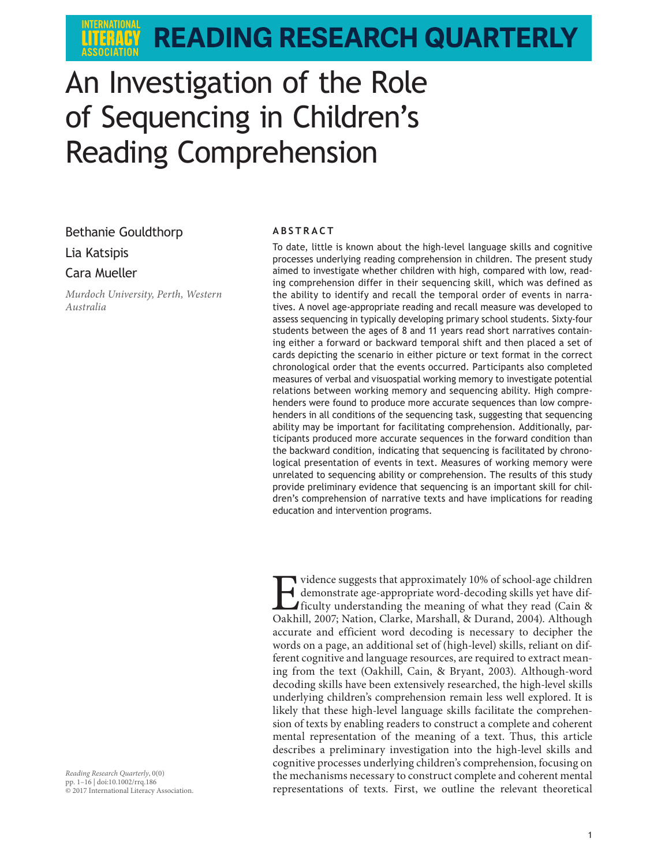# **READING RESEARCH QUARTERLY**

# An Investigation of the Role of Sequencing in Children's Reading Comprehension

Bethanie Gouldthorp Lia Katsipis Cara Mueller

*Murdoch University, Perth, Western Australia*

**ABSTRACT**

To date, little is known about the high-level language skills and cognitive processes underlying reading comprehension in children. The present study aimed to investigate whether children with high, compared with low, reading comprehension differ in their sequencing skill, which was defined as the ability to identify and recall the temporal order of events in narratives. A novel age-appropriate reading and recall measure was developed to assess sequencing in typically developing primary school students. Sixty-four students between the ages of 8 and 11 years read short narratives containing either a forward or backward temporal shift and then placed a set of cards depicting the scenario in either picture or text format in the correct chronological order that the events occurred. Participants also completed measures of verbal and visuospatial working memory to investigate potential relations between working memory and sequencing ability. High comprehenders were found to produce more accurate sequences than low comprehenders in all conditions of the sequencing task, suggesting that sequencing ability may be important for facilitating comprehension. Additionally, participants produced more accurate sequences in the forward condition than the backward condition, indicating that sequencing is facilitated by chronological presentation of events in text. Measures of working memory were unrelated to sequencing ability or comprehension. The results of this study provide preliminary evidence that sequencing is an important skill for children's comprehension of narrative texts and have implications for reading education and intervention programs.

Twidence suggests that approximately 10% of school-age children<br>demonstrate age-appropriate word-decoding skills yet have dif-<br>ficulty understanding the meaning of what they read (Cain &<br>Oakhill, 2007; Nation, Clarke, Mars demonstrate age-appropriate word-decoding skills yet have difficulty understanding the meaning of what they read (Cain & Oakhill, 2007; Nation, Clarke, Marshall, & Durand, 2004). Although accurate and efficient word decoding is necessary to decipher the words on a page, an additional set of (high-level) skills, reliant on different cognitive and language resources, are required to extract meaning from the text (Oakhill, Cain, & Bryant, 2003). Although-word decoding skills have been extensively researched, the high-level skills underlying children's comprehension remain less well explored. It is likely that these high-level language skills facilitate the comprehension of texts by enabling readers to construct a complete and coherent mental representation of the meaning of a text. Thus, this article describes a preliminary investigation into the high-level skills and cognitive processes underlying children's comprehension, focusing on the mechanisms necessary to construct complete and coherent mental representations of texts. First, we outline the relevant theoretical

*Reading Research Quarterly*, 0(0) pp. 1–16 | doi:10.1002/rrq.186 © 2017 International Literacy Association.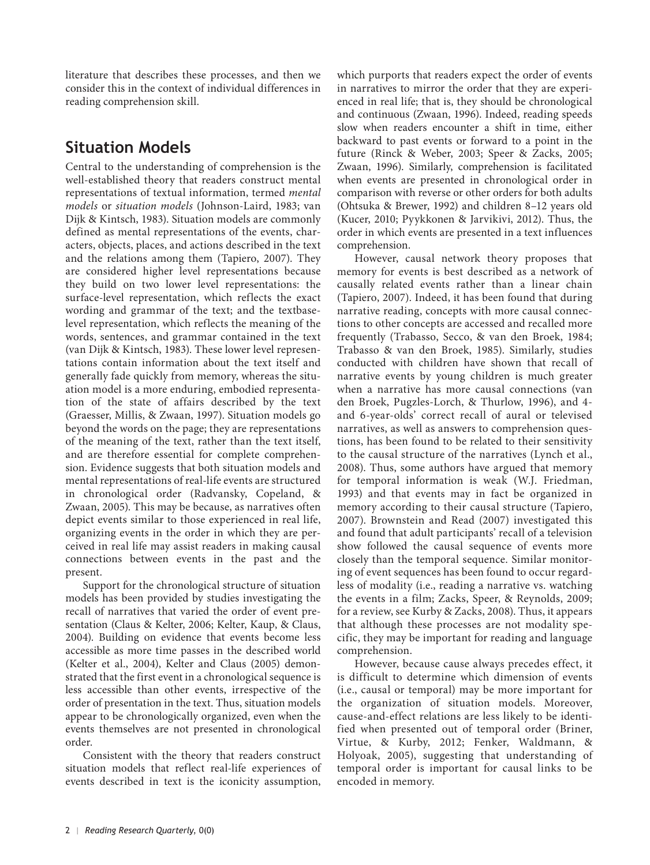literature that describes these processes, and then we consider this in the context of individual differences in reading comprehension skill.

# **Situation Models**

Central to the understanding of comprehension is the well-established theory that readers construct mental representations of textual information, termed *mental models* or *situation models* (Johnson-Laird, 1983; van Dijk & Kintsch, 1983). Situation models are commonly defined as mental representations of the events, characters, objects, places, and actions described in the text and the relations among them (Tapiero, 2007). They are considered higher level representations because they build on two lower level representations: the surface-level representation, which reflects the exact wording and grammar of the text; and the textbaselevel representation, which reflects the meaning of the words, sentences, and grammar contained in the text (van Dijk & Kintsch, 1983). These lower level representations contain information about the text itself and generally fade quickly from memory, whereas the situation model is a more enduring, embodied representation of the state of affairs described by the text (Graesser, Millis, & Zwaan, 1997). Situation models go beyond the words on the page; they are representations of the meaning of the text, rather than the text itself, and are therefore essential for complete comprehension. Evidence suggests that both situation models and mental representations of real-life events are structured in chronological order (Radvansky, Copeland, & Zwaan, 2005). This may be because, as narratives often depict events similar to those experienced in real life, organizing events in the order in which they are perceived in real life may assist readers in making causal connections between events in the past and the present.

Support for the chronological structure of situation models has been provided by studies investigating the recall of narratives that varied the order of event presentation (Claus & Kelter, 2006; Kelter, Kaup, & Claus, 2004). Building on evidence that events become less accessible as more time passes in the described world (Kelter et al., 2004), Kelter and Claus (2005) demonstrated that the first event in a chronological sequence is less accessible than other events, irrespective of the order of presentation in the text. Thus, situation models appear to be chronologically organized, even when the events themselves are not presented in chronological order.

Consistent with the theory that readers construct situation models that reflect real-life experiences of events described in text is the iconicity assumption,

which purports that readers expect the order of events in narratives to mirror the order that they are experienced in real life; that is, they should be chronological and continuous (Zwaan, 1996). Indeed, reading speeds slow when readers encounter a shift in time, either backward to past events or forward to a point in the future (Rinck & Weber, 2003; Speer & Zacks, 2005; Zwaan, 1996). Similarly, comprehension is facilitated when events are presented in chronological order in comparison with reverse or other orders for both adults (Ohtsuka & Brewer, 1992) and children 8–12 years old (Kucer, 2010; Pyykkonen & Jarvikivi, 2012). Thus, the order in which events are presented in a text influences comprehension.

However, causal network theory proposes that memory for events is best described as a network of causally related events rather than a linear chain (Tapiero, 2007). Indeed, it has been found that during narrative reading, concepts with more causal connections to other concepts are accessed and recalled more frequently (Trabasso, Secco, & van den Broek, 1984; Trabasso & van den Broek, 1985). Similarly, studies conducted with children have shown that recall of narrative events by young children is much greater when a narrative has more causal connections (van den Broek, Pugzles-Lorch, & Thurlow, 1996), and 4 and 6-year-olds' correct recall of aural or televised narratives, as well as answers to comprehension questions, has been found to be related to their sensitivity to the causal structure of the narratives (Lynch et al., 2008). Thus, some authors have argued that memory for temporal information is weak (W.J. Friedman, 1993) and that events may in fact be organized in memory according to their causal structure (Tapiero, 2007). Brownstein and Read (2007) investigated this and found that adult participants' recall of a television show followed the causal sequence of events more closely than the temporal sequence. Similar monitoring of event sequences has been found to occur regardless of modality (i.e., reading a narrative vs. watching the events in a film; Zacks, Speer, & Reynolds, 2009; for a review, see Kurby & Zacks, 2008). Thus, it appears that although these processes are not modality specific, they may be important for reading and language comprehension.

However, because cause always precedes effect, it is difficult to determine which dimension of events (i.e., causal or temporal) may be more important for the organization of situation models. Moreover, cause-and-effect relations are less likely to be identified when presented out of temporal order (Briner, Virtue, & Kurby, 2012; Fenker, Waldmann, & Holyoak, 2005), suggesting that understanding of temporal order is important for causal links to be encoded in memory.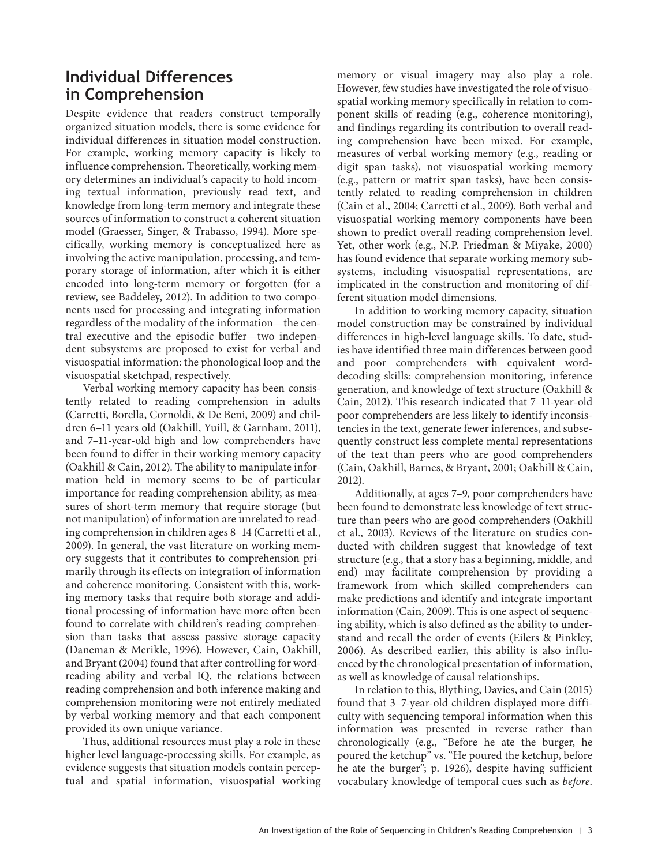## **Individual Differences in Comprehension**

Despite evidence that readers construct temporally organized situation models, there is some evidence for individual differences in situation model construction. For example, working memory capacity is likely to influence comprehension. Theoretically, working memory determines an individual's capacity to hold incoming textual information, previously read text, and knowledge from long-term memory and integrate these sources of information to construct a coherent situation model (Graesser, Singer, & Trabasso, 1994). More specifically, working memory is conceptualized here as involving the active manipulation, processing, and temporary storage of information, after which it is either encoded into long-term memory or forgotten (for a review, see Baddeley, 2012). In addition to two components used for processing and integrating information regardless of the modality of the information—the central executive and the episodic buffer—two independent subsystems are proposed to exist for verbal and visuospatial information: the phonological loop and the visuospatial sketchpad, respectively.

Verbal working memory capacity has been consistently related to reading comprehension in adults (Carretti, Borella, Cornoldi, & De Beni, 2009) and children 6–11 years old (Oakhill, Yuill, & Garnham, 2011), and 7–11-year-old high and low comprehenders have been found to differ in their working memory capacity (Oakhill & Cain, 2012). The ability to manipulate information held in memory seems to be of particular importance for reading comprehension ability, as measures of short-term memory that require storage (but not manipulation) of information are unrelated to reading comprehension in children ages 8–14 (Carretti et al., 2009). In general, the vast literature on working memory suggests that it contributes to comprehension primarily through its effects on integration of information and coherence monitoring. Consistent with this, working memory tasks that require both storage and additional processing of information have more often been found to correlate with children's reading comprehension than tasks that assess passive storage capacity (Daneman & Merikle, 1996). However, Cain, Oakhill, and Bryant (2004) found that after controlling for wordreading ability and verbal IQ, the relations between reading comprehension and both inference making and comprehension monitoring were not entirely mediated by verbal working memory and that each component provided its own unique variance.

Thus, additional resources must play a role in these higher level language-processing skills. For example, as evidence suggests that situation models contain perceptual and spatial information, visuospatial working

memory or visual imagery may also play a role. However, few studies have investigated the role of visuospatial working memory specifically in relation to component skills of reading (e.g., coherence monitoring), and findings regarding its contribution to overall reading comprehension have been mixed. For example, measures of verbal working memory (e.g., reading or digit span tasks), not visuospatial working memory (e.g., pattern or matrix span tasks), have been consistently related to reading comprehension in children (Cain et al., 2004; Carretti et al., 2009). Both verbal and visuospatial working memory components have been shown to predict overall reading comprehension level. Yet, other work (e.g., N.P. Friedman & Miyake, 2000) has found evidence that separate working memory subsystems, including visuospatial representations, are implicated in the construction and monitoring of different situation model dimensions.

In addition to working memory capacity, situation model construction may be constrained by individual differences in high-level language skills. To date, studies have identified three main differences between good and poor comprehenders with equivalent worddecoding skills: comprehension monitoring, inference generation, and knowledge of text structure (Oakhill & Cain, 2012). This research indicated that 7–11-year-old poor comprehenders are less likely to identify inconsistencies in the text, generate fewer inferences, and subsequently construct less complete mental representations of the text than peers who are good comprehenders (Cain, Oakhill, Barnes, & Bryant, 2001; Oakhill & Cain, 2012).

Additionally, at ages 7–9, poor comprehenders have been found to demonstrate less knowledge of text structure than peers who are good comprehenders (Oakhill et al., 2003). Reviews of the literature on studies conducted with children suggest that knowledge of text structure (e.g., that a story has a beginning, middle, and end) may facilitate comprehension by providing a framework from which skilled comprehenders can make predictions and identify and integrate important information (Cain, 2009). This is one aspect of sequencing ability, which is also defined as the ability to understand and recall the order of events (Eilers & Pinkley, 2006). As described earlier, this ability is also influenced by the chronological presentation of information, as well as knowledge of causal relationships.

In relation to this, Blything, Davies, and Cain (2015) found that 3–7-year-old children displayed more difficulty with sequencing temporal information when this information was presented in reverse rather than chronologically (e.g., "Before he ate the burger, he poured the ketchup" vs. "He poured the ketchup, before he ate the burger"; p. 1926), despite having sufficient vocabulary knowledge of temporal cues such as *before*.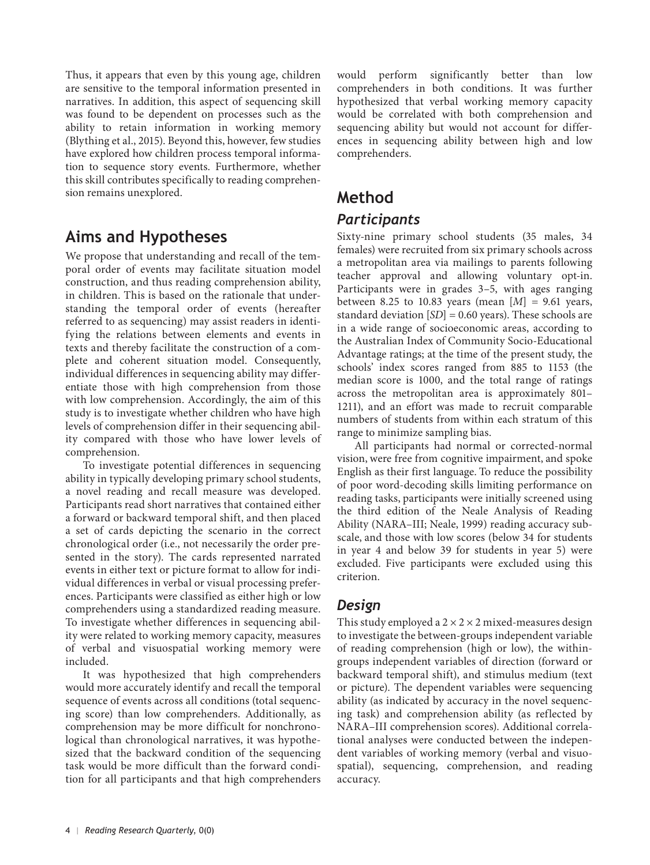Thus, it appears that even by this young age, children are sensitive to the temporal information presented in narratives. In addition, this aspect of sequencing skill was found to be dependent on processes such as the ability to retain information in working memory (Blything et al., 2015). Beyond this, however, few studies have explored how children process temporal information to sequence story events. Furthermore, whether this skill contributes specifically to reading comprehension remains unexplored.

## **Aims and Hypotheses**

We propose that understanding and recall of the temporal order of events may facilitate situation model construction, and thus reading comprehension ability, in children. This is based on the rationale that understanding the temporal order of events (hereafter referred to as sequencing) may assist readers in identifying the relations between elements and events in texts and thereby facilitate the construction of a complete and coherent situation model. Consequently, individual differences in sequencing ability may differentiate those with high comprehension from those with low comprehension. Accordingly, the aim of this study is to investigate whether children who have high levels of comprehension differ in their sequencing ability compared with those who have lower levels of comprehension.

To investigate potential differences in sequencing ability in typically developing primary school students, a novel reading and recall measure was developed. Participants read short narratives that contained either a forward or backward temporal shift, and then placed a set of cards depicting the scenario in the correct chronological order (i.e., not necessarily the order presented in the story). The cards represented narrated events in either text or picture format to allow for individual differences in verbal or visual processing preferences. Participants were classified as either high or low comprehenders using a standardized reading measure. To investigate whether differences in sequencing ability were related to working memory capacity, measures of verbal and visuospatial working memory were included.

It was hypothesized that high comprehenders would more accurately identify and recall the temporal sequence of events across all conditions (total sequencing score) than low comprehenders. Additionally, as comprehension may be more difficult for nonchronological than chronological narratives, it was hypothesized that the backward condition of the sequencing task would be more difficult than the forward condition for all participants and that high comprehenders

would perform significantly better than low comprehenders in both conditions. It was further hypothesized that verbal working memory capacity would be correlated with both comprehension and sequencing ability but would not account for differences in sequencing ability between high and low comprehenders.

## **Method**

#### *Participants*

Sixty-nine primary school students (35 males, 34 females) were recruited from six primary schools across a metropolitan area via mailings to parents following teacher approval and allowing voluntary opt-in. Participants were in grades 3–5, with ages ranging between 8.25 to 10.83 years (mean  $[M] = 9.61$  years, standard deviation [*SD*] = 0.60 years). These schools are in a wide range of socioeconomic areas, according to the Australian Index of Community Socio-Educational Advantage ratings; at the time of the present study, the schools' index scores ranged from 885 to 1153 (the median score is 1000, and the total range of ratings across the metropolitan area is approximately 801– 1211), and an effort was made to recruit comparable numbers of students from within each stratum of this range to minimize sampling bias.

All participants had normal or corrected-normal vision, were free from cognitive impairment, and spoke English as their first language. To reduce the possibility of poor word-decoding skills limiting performance on reading tasks, participants were initially screened using the third edition of the Neale Analysis of Reading Ability (NARA–III; Neale, 1999) reading accuracy subscale, and those with low scores (below 34 for students in year 4 and below 39 for students in year 5) were excluded. Five participants were excluded using this criterion.

## *Design*

This study employed a  $2 \times 2 \times 2$  mixed-measures design to investigate the between-groups independent variable of reading comprehension (high or low), the withingroups independent variables of direction (forward or backward temporal shift), and stimulus medium (text or picture). The dependent variables were sequencing ability (as indicated by accuracy in the novel sequencing task) and comprehension ability (as reflected by NARA–III comprehension scores). Additional correlational analyses were conducted between the independent variables of working memory (verbal and visuospatial), sequencing, comprehension, and reading accuracy.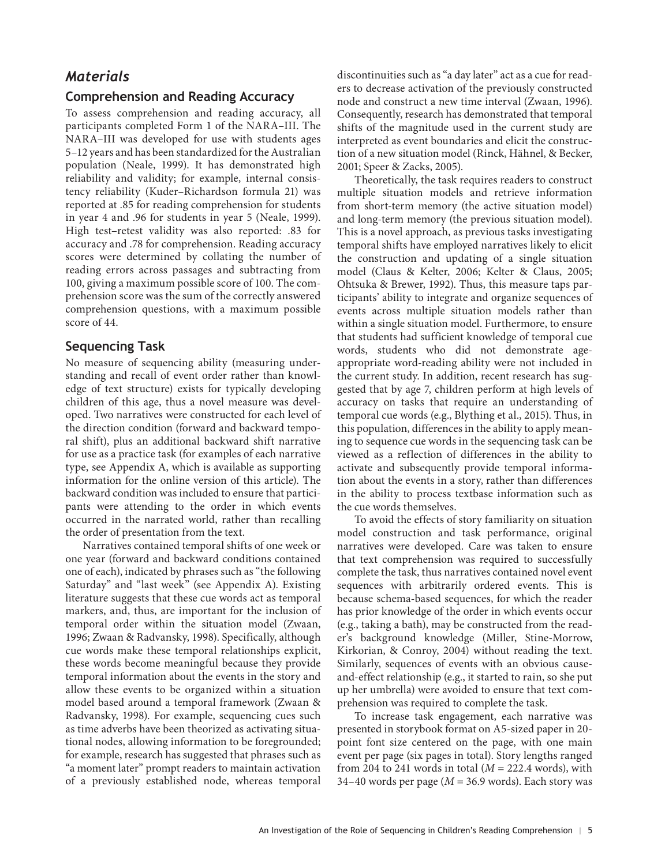#### *Materials*

#### **Comprehension and Reading Accuracy**

To assess comprehension and reading accuracy, all participants completed Form 1 of the NARA–III. The NARA–III was developed for use with students ages 5–12 years and has been standardized for the Australian population (Neale, 1999). It has demonstrated high reliability and validity; for example, internal consistency reliability (Kuder–Richardson formula 21) was reported at .85 for reading comprehension for students in year 4 and .96 for students in year 5 (Neale, 1999). High test–retest validity was also reported: .83 for accuracy and .78 for comprehension. Reading accuracy scores were determined by collating the number of reading errors across passages and subtracting from 100, giving a maximum possible score of 100. The comprehension score was the sum of the correctly answered comprehension questions, with a maximum possible score of 44.

#### **Sequencing Task**

No measure of sequencing ability (measuring understanding and recall of event order rather than knowledge of text structure) exists for typically developing children of this age, thus a novel measure was developed. Two narratives were constructed for each level of the direction condition (forward and backward temporal shift), plus an additional backward shift narrative for use as a practice task (for examples of each narrative type, see Appendix A, which is available as supporting information for the online version of this article). The backward condition was included to ensure that participants were attending to the order in which events occurred in the narrated world, rather than recalling the order of presentation from the text.

Narratives contained temporal shifts of one week or one year (forward and backward conditions contained one of each), indicated by phrases such as "the following Saturday" and "last week" (see Appendix A). Existing literature suggests that these cue words act as temporal markers, and, thus, are important for the inclusion of temporal order within the situation model (Zwaan, 1996; Zwaan & Radvansky, 1998). Specifically, although cue words make these temporal relationships explicit, these words become meaningful because they provide temporal information about the events in the story and allow these events to be organized within a situation model based around a temporal framework (Zwaan & Radvansky, 1998). For example, sequencing cues such as time adverbs have been theorized as activating situational nodes, allowing information to be foregrounded; for example, research has suggested that phrases such as "a moment later" prompt readers to maintain activation of a previously established node, whereas temporal

discontinuities such as "a day later" act as a cue for readers to decrease activation of the previously constructed node and construct a new time interval (Zwaan, 1996). Consequently, research has demonstrated that temporal shifts of the magnitude used in the current study are interpreted as event boundaries and elicit the construction of a new situation model (Rinck, Hähnel, & Becker, 2001; Speer & Zacks, 2005).

Theoretically, the task requires readers to construct multiple situation models and retrieve information from short-term memory (the active situation model) and long-term memory (the previous situation model). This is a novel approach, as previous tasks investigating temporal shifts have employed narratives likely to elicit the construction and updating of a single situation model (Claus & Kelter, 2006; Kelter & Claus, 2005; Ohtsuka & Brewer, 1992). Thus, this measure taps participants' ability to integrate and organize sequences of events across multiple situation models rather than within a single situation model. Furthermore, to ensure that students had sufficient knowledge of temporal cue words, students who did not demonstrate ageappropriate word-reading ability were not included in the current study. In addition, recent research has suggested that by age 7, children perform at high levels of accuracy on tasks that require an understanding of temporal cue words (e.g., Blything et al., 2015). Thus, in this population, differences in the ability to apply meaning to sequence cue words in the sequencing task can be viewed as a reflection of differences in the ability to activate and subsequently provide temporal information about the events in a story, rather than differences in the ability to process textbase information such as the cue words themselves.

To avoid the effects of story familiarity on situation model construction and task performance, original narratives were developed. Care was taken to ensure that text comprehension was required to successfully complete the task, thus narratives contained novel event sequences with arbitrarily ordered events. This is because schema-based sequences, for which the reader has prior knowledge of the order in which events occur (e.g., taking a bath), may be constructed from the reader's background knowledge (Miller, Stine-Morrow, Kirkorian, & Conroy, 2004) without reading the text. Similarly, sequences of events with an obvious causeand-effect relationship (e.g., it started to rain, so she put up her umbrella) were avoided to ensure that text comprehension was required to complete the task.

To increase task engagement, each narrative was presented in storybook format on A5-sized paper in 20 point font size centered on the page, with one main event per page (six pages in total). Story lengths ranged from 204 to 241 words in total  $(M = 222.4$  words), with 34–40 words per page (*M* = 36.9 words). Each story was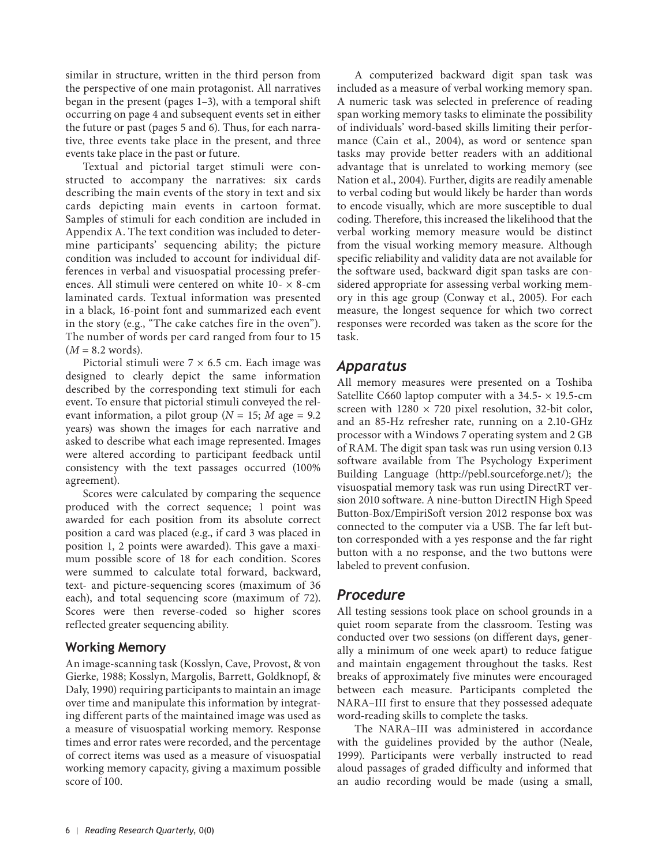similar in structure, written in the third person from the perspective of one main protagonist. All narratives began in the present (pages 1–3), with a temporal shift occurring on page 4 and subsequent events set in either the future or past (pages 5 and 6). Thus, for each narrative, three events take place in the present, and three events take place in the past or future.

Textual and pictorial target stimuli were constructed to accompany the narratives: six cards describing the main events of the story in text and six cards depicting main events in cartoon format. Samples of stimuli for each condition are included in Appendix A. The text condition was included to determine participants' sequencing ability; the picture condition was included to account for individual differences in verbal and visuospatial processing preferences. All stimuli were centered on white  $10 - \times 8$ -cm laminated cards. Textual information was presented in a black, 16-point font and summarized each event in the story (e.g., "The cake catches fire in the oven"). The number of words per card ranged from four to 15  $(M = 8.2$  words).

Pictorial stimuli were  $7 \times 6.5$  cm. Each image was designed to clearly depict the same information described by the corresponding text stimuli for each event. To ensure that pictorial stimuli conveyed the relevant information, a pilot group ( $N = 15$ ; *M* age = 9.2 years) was shown the images for each narrative and asked to describe what each image represented. Images were altered according to participant feedback until consistency with the text passages occurred (100% agreement).

Scores were calculated by comparing the sequence produced with the correct sequence; 1 point was awarded for each position from its absolute correct position a card was placed (e.g., if card 3 was placed in position 1, 2 points were awarded). This gave a maximum possible score of 18 for each condition. Scores were summed to calculate total forward, backward, text- and picture-sequencing scores (maximum of 36 each), and total sequencing score (maximum of 72). Scores were then reverse-coded so higher scores reflected greater sequencing ability.

#### **Working Memory**

An image-scanning task (Kosslyn, Cave, Provost, & von Gierke, 1988; Kosslyn, Margolis, Barrett, Goldknopf, & Daly, 1990) requiring participants to maintain an image over time and manipulate this information by integrating different parts of the maintained image was used as a measure of visuospatial working memory. Response times and error rates were recorded, and the percentage of correct items was used as a measure of visuospatial working memory capacity, giving a maximum possible score of 100.

A computerized backward digit span task was included as a measure of verbal working memory span. A numeric task was selected in preference of reading span working memory tasks to eliminate the possibility of individuals' word-based skills limiting their performance (Cain et al., 2004), as word or sentence span tasks may provide better readers with an additional advantage that is unrelated to working memory (see Nation et al., 2004). Further, digits are readily amenable to verbal coding but would likely be harder than words to encode visually, which are more susceptible to dual coding. Therefore, this increased the likelihood that the verbal working memory measure would be distinct from the visual working memory measure. Although specific reliability and validity data are not available for the software used, backward digit span tasks are considered appropriate for assessing verbal working memory in this age group (Conway et al., 2005). For each measure, the longest sequence for which two correct responses were recorded was taken as the score for the task.

#### *Apparatus*

All memory measures were presented on a Toshiba Satellite C660 laptop computer with a  $34.5- \times 19.5$ -cm screen with  $1280 \times 720$  pixel resolution, 32-bit color, and an 85-Hz refresher rate, running on a 2.10-GHz processor with a Windows 7 operating system and 2 GB of RAM. The digit span task was run using version 0.13 software available from The Psychology Experiment Building Language ([http://pebl.sourceforge.net/\)](http://pebl.sourceforge.net/); the visuospatial memory task was run using DirectRT version 2010 software. A nine-button DirectIN High Speed Button-Box/EmpiriSoft version 2012 response box was connected to the computer via a USB. The far left button corresponded with a yes response and the far right button with a no response, and the two buttons were labeled to prevent confusion.

#### *Procedure*

All testing sessions took place on school grounds in a quiet room separate from the classroom. Testing was conducted over two sessions (on different days, generally a minimum of one week apart) to reduce fatigue and maintain engagement throughout the tasks. Rest breaks of approximately five minutes were encouraged between each measure. Participants completed the NARA–III first to ensure that they possessed adequate word-reading skills to complete the tasks.

The NARA–III was administered in accordance with the guidelines provided by the author (Neale, 1999). Participants were verbally instructed to read aloud passages of graded difficulty and informed that an audio recording would be made (using a small,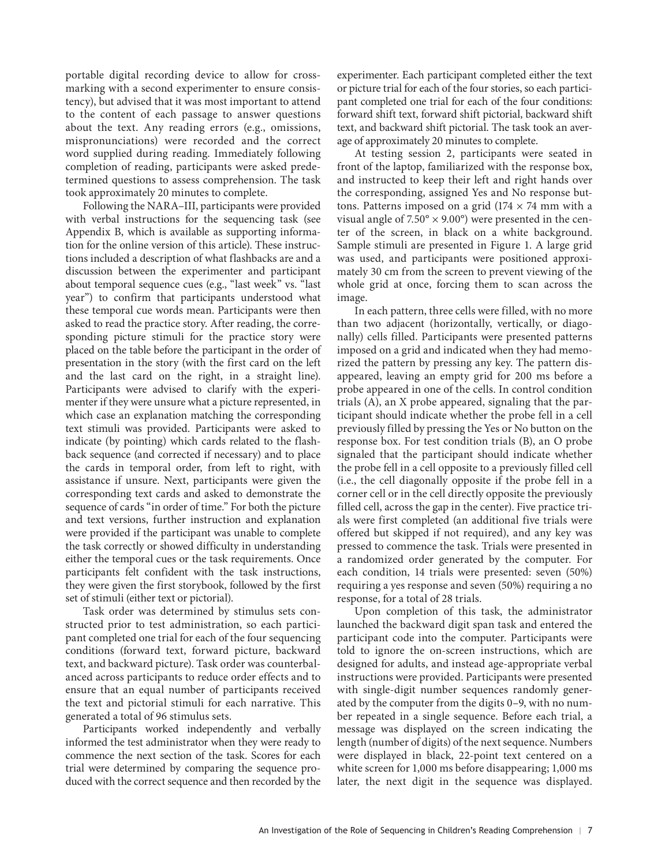portable digital recording device to allow for crossmarking with a second experimenter to ensure consistency), but advised that it was most important to attend to the content of each passage to answer questions about the text. Any reading errors (e.g., omissions, mispronunciations) were recorded and the correct word supplied during reading. Immediately following completion of reading, participants were asked predetermined questions to assess comprehension. The task took approximately 20 minutes to complete.

Following the NARA–III, participants were provided with verbal instructions for the sequencing task (see Appendix B, which is available as supporting information for the online version of this article). These instructions included a description of what flashbacks are and a discussion between the experimenter and participant about temporal sequence cues (e.g., "last week" vs. "last year") to confirm that participants understood what these temporal cue words mean. Participants were then asked to read the practice story. After reading, the corresponding picture stimuli for the practice story were placed on the table before the participant in the order of presentation in the story (with the first card on the left and the last card on the right, in a straight line). Participants were advised to clarify with the experimenter if they were unsure what a picture represented, in which case an explanation matching the corresponding text stimuli was provided. Participants were asked to indicate (by pointing) which cards related to the flashback sequence (and corrected if necessary) and to place the cards in temporal order, from left to right, with assistance if unsure. Next, participants were given the corresponding text cards and asked to demonstrate the sequence of cards "in order of time." For both the picture and text versions, further instruction and explanation were provided if the participant was unable to complete the task correctly or showed difficulty in understanding either the temporal cues or the task requirements. Once participants felt confident with the task instructions, they were given the first storybook, followed by the first set of stimuli (either text or pictorial).

Task order was determined by stimulus sets constructed prior to test administration, so each participant completed one trial for each of the four sequencing conditions (forward text, forward picture, backward text, and backward picture). Task order was counterbalanced across participants to reduce order effects and to ensure that an equal number of participants received the text and pictorial stimuli for each narrative. This generated a total of 96 stimulus sets.

Participants worked independently and verbally informed the test administrator when they were ready to commence the next section of the task. Scores for each trial were determined by comparing the sequence produced with the correct sequence and then recorded by the

experimenter. Each participant completed either the text or picture trial for each of the four stories, so each participant completed one trial for each of the four conditions: forward shift text, forward shift pictorial, backward shift text, and backward shift pictorial. The task took an average of approximately 20 minutes to complete.

At testing session 2, participants were seated in front of the laptop, familiarized with the response box, and instructed to keep their left and right hands over the corresponding, assigned Yes and No response buttons. Patterns imposed on a grid ( $174 \times 74$  mm with a visual angle of  $7.50^{\circ} \times 9.00^{\circ}$ ) were presented in the center of the screen, in black on a white background. Sample stimuli are presented in Figure 1. A large grid was used, and participants were positioned approximately 30 cm from the screen to prevent viewing of the whole grid at once, forcing them to scan across the image.

In each pattern, three cells were filled, with no more than two adjacent (horizontally, vertically, or diagonally) cells filled. Participants were presented patterns imposed on a grid and indicated when they had memorized the pattern by pressing any key. The pattern disappeared, leaving an empty grid for 200 ms before a probe appeared in one of the cells. In control condition trials (A), an X probe appeared, signaling that the participant should indicate whether the probe fell in a cell previously filled by pressing the Yes or No button on the response box. For test condition trials (B), an O probe signaled that the participant should indicate whether the probe fell in a cell opposite to a previously filled cell (i.e., the cell diagonally opposite if the probe fell in a corner cell or in the cell directly opposite the previously filled cell, across the gap in the center). Five practice trials were first completed (an additional five trials were offered but skipped if not required), and any key was pressed to commence the task. Trials were presented in a randomized order generated by the computer. For each condition, 14 trials were presented: seven (50%) requiring a yes response and seven (50%) requiring a no response, for a total of 28 trials.

Upon completion of this task, the administrator launched the backward digit span task and entered the participant code into the computer. Participants were told to ignore the on-screen instructions, which are designed for adults, and instead age-appropriate verbal instructions were provided. Participants were presented with single-digit number sequences randomly generated by the computer from the digits 0–9, with no number repeated in a single sequence. Before each trial, a message was displayed on the screen indicating the length (number of digits) of the next sequence. Numbers were displayed in black, 22-point text centered on a white screen for 1,000 ms before disappearing; 1,000 ms later, the next digit in the sequence was displayed.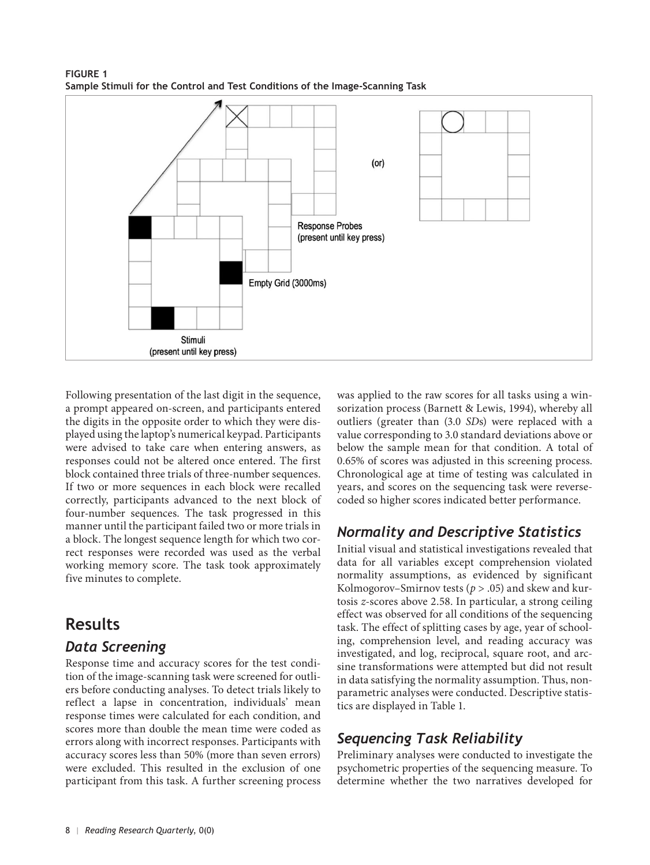**FIGURE 1 Sample Stimuli for the Control and Test Conditions of the Image-Scanning Task**



Following presentation of the last digit in the sequence, a prompt appeared on-screen, and participants entered the digits in the opposite order to which they were displayed using the laptop's numerical keypad. Participants were advised to take care when entering answers, as responses could not be altered once entered. The first block contained three trials of three-number sequences. If two or more sequences in each block were recalled correctly, participants advanced to the next block of four-number sequences. The task progressed in this manner until the participant failed two or more trials in a block. The longest sequence length for which two correct responses were recorded was used as the verbal working memory score. The task took approximately five minutes to complete.

## **Results**

#### *Data Screening*

Response time and accuracy scores for the test condition of the image-scanning task were screened for outliers before conducting analyses. To detect trials likely to reflect a lapse in concentration, individuals' mean response times were calculated for each condition, and scores more than double the mean time were coded as errors along with incorrect responses. Participants with accuracy scores less than 50% (more than seven errors) were excluded. This resulted in the exclusion of one participant from this task. A further screening process

was applied to the raw scores for all tasks using a winsorization process (Barnett & Lewis, 1994), whereby all outliers (greater than (3.0 *SD*s) were replaced with a value corresponding to 3.0 standard deviations above or below the sample mean for that condition. A total of 0.65% of scores was adjusted in this screening process. Chronological age at time of testing was calculated in years, and scores on the sequencing task were reversecoded so higher scores indicated better performance.

## *Normality and Descriptive Statistics*

Initial visual and statistical investigations revealed that data for all variables except comprehension violated normality assumptions, as evidenced by significant Kolmogorov–Smirnov tests ( $p > .05$ ) and skew and kurtosis *z*-scores above 2.58. In particular, a strong ceiling effect was observed for all conditions of the sequencing task. The effect of splitting cases by age, year of schooling, comprehension level, and reading accuracy was investigated, and log, reciprocal, square root, and arcsine transformations were attempted but did not result in data satisfying the normality assumption. Thus, nonparametric analyses were conducted. Descriptive statistics are displayed in Table 1.

## *Sequencing Task Reliability*

Preliminary analyses were conducted to investigate the psychometric properties of the sequencing measure. To determine whether the two narratives developed for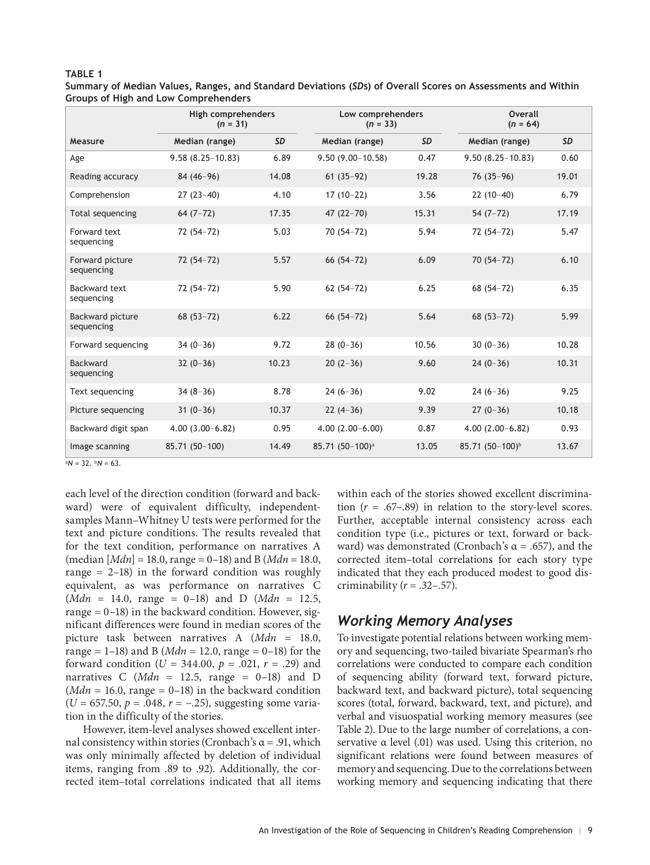#### **TABLE 1**

|                                      | Summary of Median Values, Ranges, and Standard Deviations (SDs) of Overall Scores on Assessments and Within |
|--------------------------------------|-------------------------------------------------------------------------------------------------------------|
| Groups of High and Low Comprehenders |                                                                                                             |

|                                    | High comprehenders<br>$(n = 31)$ |           | Low comprehenders<br>$(n = 33)$ |           | Overall<br>$(n = 64)$ |       |  |
|------------------------------------|----------------------------------|-----------|---------------------------------|-----------|-----------------------|-------|--|
| Measure                            | Median (range)                   | <b>SD</b> | Median (range)                  | <b>SD</b> | Median (range)        | SD    |  |
| Age                                | $9.58(8.25 - 10.83)$             | 6.89      | $9.50(9.00-10.58)$              | 0.47      | $9.50(8.25-10.83)$    | 0.60  |  |
| Reading accuracy                   | $84(46-96)$                      | 14.08     | $61(35-92)$                     | 19.28     | $76(35-96)$           | 19.01 |  |
| Comprehension                      | $27(23-40)$                      | 4.10      | $17(10-22)$                     | 3.56      | $22(10-40)$           | 6.79  |  |
| Total sequencing                   | $64(7-72)$                       | 17.35     | $47(22-70)$                     | 15.31     | $54(7-72)$            | 17.19 |  |
| Forward text<br>sequencing         | $72(54-72)$                      | 5.03      | $70(54-72)$                     | 5.94      | $72(54-72)$           | 5.47  |  |
| Forward picture<br>sequencing      | $72(54-72)$                      | 5.57      | $66(54-72)$                     | 6.09      | $70(54-72)$           | 6.10  |  |
| <b>Backward text</b><br>sequencing | $72(54-72)$                      | 5.90      | $62(54-72)$                     | 6.25      | $68(54-72)$           | 6.35  |  |
| Backward picture<br>sequencing     | $68(53-72)$                      | 6.22      | $66(54-72)$                     | 5.64      | $68(53-72)$           | 5.99  |  |
| Forward sequencing                 | $34(0-36)$                       | 9.72      | $28(0-36)$                      | 10.56     | $30(0-36)$            | 10.28 |  |
| <b>Backward</b><br>sequencing      | $32(0-36)$                       | 10.23     | $20(2-36)$                      | 9.60      | $24(0-36)$            | 10.31 |  |
| Text sequencing                    | $34(8-36)$                       | 8.78      | $24(6-36)$                      | 9.02      | $24(6-36)$            | 9.25  |  |
| Picture sequencing                 | $31(0-36)$                       | 10.37     | $22(4-36)$                      | 9.39      | $27(0-36)$            | 10.18 |  |
| Backward digit span                | $4.00(3.00-6.82)$                | 0.95      | $4.00(2.00-6.00)$               | 0.87      | $4.00(2.00-6.82)$     | 0.93  |  |
| Image scanning                     | 85.71 (50-100)                   | 14.49     | 85.71 (50-100) <sup>a</sup>     | 13.05     | 85.71 (50-100)b       | 13.67 |  |

a *N* = 32*.* <sup>b</sup>*N* = 63.

each level of the direction condition (forward and backward) were of equivalent difficulty, independentsamples Mann–Whitney U tests were performed for the text and picture conditions. The results revealed that for the text condition, performance on narratives A  $(median [Mdn] = 18.0, range = 0-18)$  and B  $(Mdn = 18.0,$ range  $= 2-18$ ) in the forward condition was roughly equivalent, as was performance on narratives C (*Mdn* = 14.0, range *=* 0–18) and D (*Mdn* = 12.5, range *=* 0–18) in the backward condition. However, significant differences were found in median scores of the picture task between narratives A (*Mdn* = 18.0, range = 1–18) and B ( $Mdn = 12.0$ , range = 0–18) for the forward condition ( $U = 344.00$ ,  $p = .021$ ,  $r = .29$ ) and narratives C  $(Mdn = 12.5, \text{ range} = 0-18)$  and D  $(Mdn = 16.0, \text{ range} = 0-18)$  in the backward condition (*U* = 657.50, *p* = .048, *r* = −.25), suggesting some variation in the difficulty of the stories.

However, item-level analyses showed excellent internal consistency within stories (Cronbach's α = .91, which was only minimally affected by deletion of individual items, ranging from .89 to .92). Additionally, the corrected item–total correlations indicated that all items within each of the stories showed excellent discrimination  $(r = .67 - .89)$  in relation to the story-level scores. Further, acceptable internal consistency across each condition type (i.e., pictures or text, forward or backward) was demonstrated (Cronbach's  $\alpha$  = .657), and the corrected item–total correlations for each story type indicated that they each produced modest to good discriminability  $(r = .32-.57)$ .

#### *Working Memory Analyses*

To investigate potential relations between working memory and sequencing, two-tailed bivariate Spearman's rho correlations were conducted to compare each condition of sequencing ability (forward text, forward picture, backward text, and backward picture), total sequencing scores (total, forward, backward, text, and picture), and verbal and visuospatial working memory measures (see Table 2). Due to the large number of correlations, a conservative α level (.01) was used. Using this criterion, no significant relations were found between measures of memory and sequencing. Due to the correlations between working memory and sequencing indicating that there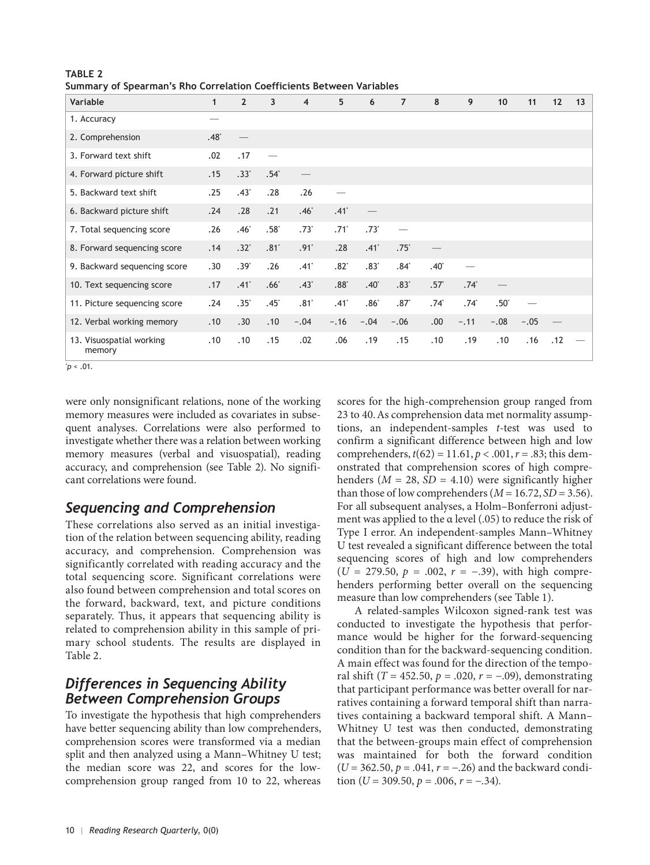| Variable                           | $\mathbf{1}$ | $\overline{2}$ | 3      | $\overline{4}$ | 5                | 6      | $\overline{7}$   | 8      | 9      | 10     | 11     | 12  | 13 |
|------------------------------------|--------------|----------------|--------|----------------|------------------|--------|------------------|--------|--------|--------|--------|-----|----|
| 1. Accuracy                        |              |                |        |                |                  |        |                  |        |        |        |        |     |    |
| 2. Comprehension                   | $.48*$       |                |        |                |                  |        |                  |        |        |        |        |     |    |
| 3. Forward text shift              | .02          | .17            |        |                |                  |        |                  |        |        |        |        |     |    |
| 4. Forward picture shift           | .15          | .33'           | $.54*$ |                |                  |        |                  |        |        |        |        |     |    |
| 5. Backward text shift             | .25          | $.43*$         | .28    | .26            |                  |        |                  |        |        |        |        |     |    |
| 6. Backward picture shift          | .24          | .28            | .21    | $.46*$         | $.41*$           |        |                  |        |        |        |        |     |    |
| 7. Total sequencing score          | .26          | $.46*$         | $.58*$ | $.73*$         | .71 <sup>°</sup> | $.73*$ |                  |        |        |        |        |     |    |
| 8. Forward sequencing score        | .14          | $.32*$         | $.81*$ | $.91*$         | .28              | .41    | $.75^{\degree}$  |        |        |        |        |     |    |
| 9. Backward sequencing score       | .30          | $.39*$         | .26    | $.41*$         | $.82^*$          | $.83*$ | $.84*$           | $.40*$ |        |        |        |     |    |
| 10. Text sequencing score          | .17          | $.41*$         | $.66*$ | $.43*$         | $.88^*$          | $.40*$ | $.83*$           | $.57*$ | $.74*$ |        |        |     |    |
| 11. Picture sequencing score       | .24          | $.35*$         | $.45*$ | $.81*$         | .41              | $.86*$ | .87 <sup>°</sup> | $.74*$ | $.74*$ | $.50*$ |        |     |    |
| 12. Verbal working memory          | .10          | .30            | .10    | $-.04$         | $-.16$           | $-.04$ | $-.06$           | .00.   | $-.11$ | $-.08$ | $-.05$ |     |    |
| 13. Visuospatial working<br>memory | .10          | .10            | .15    | .02            | .06              | .19    | .15              | .10    | .19    | .10    | .16    | .12 |    |

**TABLE 2 Summary of Spearman's Rho Correlation Coefficients Between Variables**

*\* p < .*01.

were only nonsignificant relations, none of the working memory measures were included as covariates in subsequent analyses. Correlations were also performed to investigate whether there was a relation between working memory measures (verbal and visuospatial), reading accuracy, and comprehension (see Table 2). No significant correlations were found.

## *Sequencing and Comprehension*

These correlations also served as an initial investigation of the relation between sequencing ability, reading accuracy, and comprehension. Comprehension was significantly correlated with reading accuracy and the total sequencing score. Significant correlations were also found between comprehension and total scores on the forward, backward, text, and picture conditions separately. Thus, it appears that sequencing ability is related to comprehension ability in this sample of primary school students. The results are displayed in Table 2.

## *Differences in Sequencing Ability Between Comprehension Groups*

To investigate the hypothesis that high comprehenders have better sequencing ability than low comprehenders, comprehension scores were transformed via a median split and then analyzed using a Mann–Whitney U test; the median score was 22, and scores for the lowcomprehension group ranged from 10 to 22, whereas

scores for the high-comprehension group ranged from 23 to 40. As comprehension data met normality assumptions, an independent-samples *t*-test was used to confirm a significant difference between high and low comprehenders,  $t(62) = 11.61$ ,  $p < .001$ ,  $r = .83$ ; this demonstrated that comprehension scores of high comprehenders  $(M = 28, SD = 4.10)$  were significantly higher than those of low comprehenders  $(M = 16.72, SD = 3.56)$ . For all subsequent analyses, a Holm–Bonferroni adjustment was applied to the α level (.05) to reduce the risk of Type I error. An independent-samples Mann–Whitney U test revealed a significant difference between the total sequencing scores of high and low comprehenders  $(U = 279.50, p = .002, r = -.39)$ , with high comprehenders performing better overall on the sequencing measure than low comprehenders (see Table 1).

A related-samples Wilcoxon signed-rank test was conducted to investigate the hypothesis that performance would be higher for the forward-sequencing condition than for the backward-sequencing condition. A main effect was found for the direction of the temporal shift (*T* = 452.50, *p* = .020, *r* = −.09), demonstrating that participant performance was better overall for narratives containing a forward temporal shift than narratives containing a backward temporal shift. A Mann– Whitney U test was then conducted, demonstrating that the between-groups main effect of comprehension was maintained for both the forward condition (*U* = 362.50, *p* = .041, *r* = −.26) and the backward condition  $(U = 309.50, p = .006, r = -.34)$ .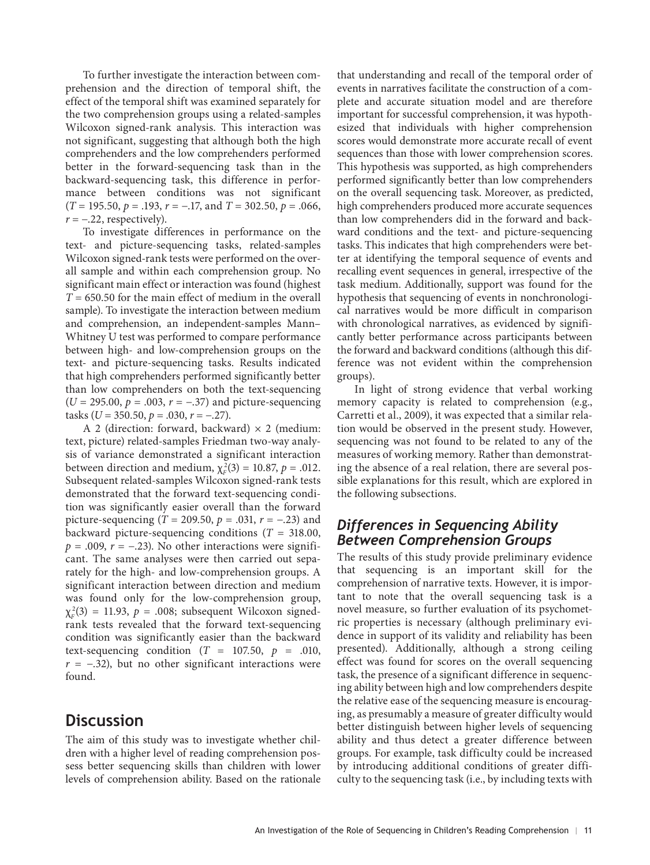To further investigate the interaction between comprehension and the direction of temporal shift, the effect of the temporal shift was examined separately for the two comprehension groups using a related-samples Wilcoxon signed-rank analysis. This interaction was not significant, suggesting that although both the high comprehenders and the low comprehenders performed better in the forward-sequencing task than in the backward-sequencing task, this difference in performance between conditions was not significant (*T* = 195.50, *p* = .193, *r* = −.17, and *T* = 302.50, *p* = .066,  $r = -.22$ , respectively).

To investigate differences in performance on the text- and picture-sequencing tasks, related-samples Wilcoxon signed-rank tests were performed on the overall sample and within each comprehension group. No significant main effect or interaction was found (highest *T* = 650.50 for the main effect of medium in the overall sample). To investigate the interaction between medium and comprehension, an independent-samples Mann– Whitney U test was performed to compare performance between high- and low-comprehension groups on the text- and picture-sequencing tasks. Results indicated that high comprehenders performed significantly better than low comprehenders on both the text-sequencing (*U* = 295.00, *p* = .003, *r* = −.37) and picture-sequencing tasks ( $U = 350.50$ ,  $p = .030$ ,  $r = -.27$ ).

A 2 (direction: forward, backward)  $\times$  2 (medium: text, picture) related-samples Friedman two-way analysis of variance demonstrated a significant interaction between direction and medium,  $\chi^2_F(3) = 10.87$ ,  $p = .012$ . Subsequent related-samples Wilcoxon signed-rank tests demonstrated that the forward text-sequencing condition was significantly easier overall than the forward picture-sequencing (*T* = 209.50, *p* = .031, *r* = −.23) and backward picture-sequencing conditions  $(T = 318.00,$  $p = .009$ ,  $r = -.23$ ). No other interactions were significant. The same analyses were then carried out separately for the high- and low-comprehension groups. A significant interaction between direction and medium was found only for the low-comprehension group,  $\chi_F^2(3) = 11.93$ ,  $p = .008$ ; subsequent Wilcoxon signedrank tests revealed that the forward text-sequencing condition was significantly easier than the backward text-sequencing condition ( $T = 107.50$ ,  $p = .010$ ,  $r = -0.32$ ), but no other significant interactions were found.

## **Discussion**

The aim of this study was to investigate whether children with a higher level of reading comprehension possess better sequencing skills than children with lower levels of comprehension ability. Based on the rationale

that understanding and recall of the temporal order of events in narratives facilitate the construction of a complete and accurate situation model and are therefore important for successful comprehension, it was hypothesized that individuals with higher comprehension scores would demonstrate more accurate recall of event sequences than those with lower comprehension scores. This hypothesis was supported, as high comprehenders performed significantly better than low comprehenders on the overall sequencing task. Moreover, as predicted, high comprehenders produced more accurate sequences than low comprehenders did in the forward and backward conditions and the text- and picture-sequencing tasks. This indicates that high comprehenders were better at identifying the temporal sequence of events and recalling event sequences in general, irrespective of the task medium. Additionally, support was found for the hypothesis that sequencing of events in nonchronological narratives would be more difficult in comparison with chronological narratives, as evidenced by significantly better performance across participants between the forward and backward conditions (although this difference was not evident within the comprehension groups).

In light of strong evidence that verbal working memory capacity is related to comprehension (e.g., Carretti et al., 2009), it was expected that a similar relation would be observed in the present study. However, sequencing was not found to be related to any of the measures of working memory. Rather than demonstrating the absence of a real relation, there are several possible explanations for this result, which are explored in the following subsections.

#### *Differences in Sequencing Ability Between Comprehension Groups*

The results of this study provide preliminary evidence that sequencing is an important skill for the comprehension of narrative texts. However, it is important to note that the overall sequencing task is a novel measure, so further evaluation of its psychometric properties is necessary (although preliminary evidence in support of its validity and reliability has been presented). Additionally, although a strong ceiling effect was found for scores on the overall sequencing task, the presence of a significant difference in sequencing ability between high and low comprehenders despite the relative ease of the sequencing measure is encouraging, as presumably a measure of greater difficulty would better distinguish between higher levels of sequencing ability and thus detect a greater difference between groups. For example, task difficulty could be increased by introducing additional conditions of greater difficulty to the sequencing task (i.e., by including texts with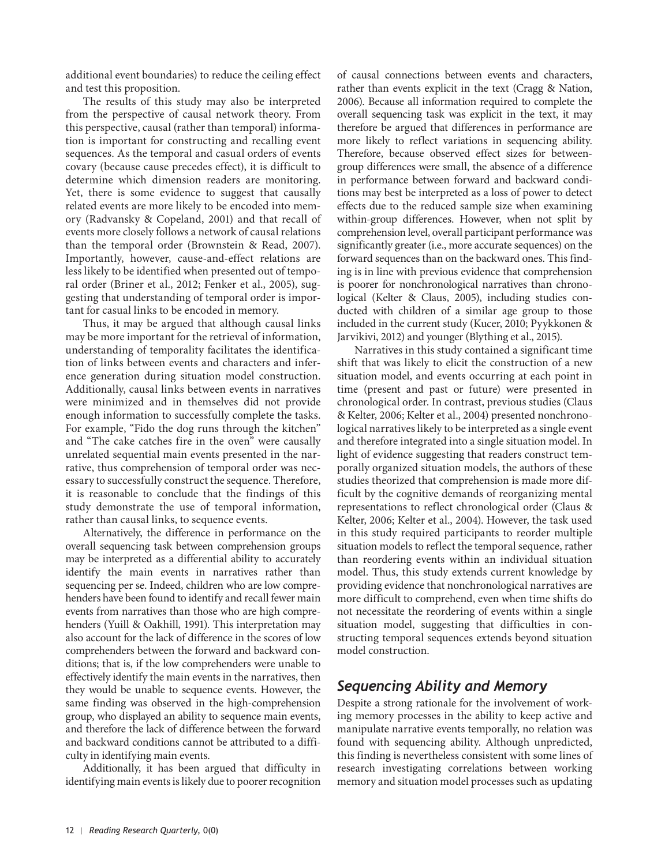additional event boundaries) to reduce the ceiling effect and test this proposition.

The results of this study may also be interpreted from the perspective of causal network theory. From this perspective, causal (rather than temporal) information is important for constructing and recalling event sequences. As the temporal and casual orders of events covary (because cause precedes effect), it is difficult to determine which dimension readers are monitoring. Yet, there is some evidence to suggest that causally related events are more likely to be encoded into memory (Radvansky & Copeland, 2001) and that recall of events more closely follows a network of causal relations than the temporal order (Brownstein & Read, 2007). Importantly, however, cause-and-effect relations are less likely to be identified when presented out of temporal order (Briner et al., 2012; Fenker et al., 2005), suggesting that understanding of temporal order is important for casual links to be encoded in memory.

Thus, it may be argued that although causal links may be more important for the retrieval of information, understanding of temporality facilitates the identification of links between events and characters and inference generation during situation model construction. Additionally, causal links between events in narratives were minimized and in themselves did not provide enough information to successfully complete the tasks. For example, "Fido the dog runs through the kitchen" and "The cake catches fire in the oven" were causally unrelated sequential main events presented in the narrative, thus comprehension of temporal order was necessary to successfully construct the sequence. Therefore, it is reasonable to conclude that the findings of this study demonstrate the use of temporal information, rather than causal links, to sequence events.

Alternatively, the difference in performance on the overall sequencing task between comprehension groups may be interpreted as a differential ability to accurately identify the main events in narratives rather than sequencing per se. Indeed, children who are low comprehenders have been found to identify and recall fewer main events from narratives than those who are high comprehenders (Yuill & Oakhill, 1991). This interpretation may also account for the lack of difference in the scores of low comprehenders between the forward and backward conditions; that is, if the low comprehenders were unable to effectively identify the main events in the narratives, then they would be unable to sequence events. However, the same finding was observed in the high-comprehension group, who displayed an ability to sequence main events, and therefore the lack of difference between the forward and backward conditions cannot be attributed to a difficulty in identifying main events.

Additionally, it has been argued that difficulty in identifying main events is likely due to poorer recognition

of causal connections between events and characters, rather than events explicit in the text (Cragg & Nation, 2006). Because all information required to complete the overall sequencing task was explicit in the text, it may therefore be argued that differences in performance are more likely to reflect variations in sequencing ability. Therefore, because observed effect sizes for betweengroup differences were small, the absence of a difference in performance between forward and backward conditions may best be interpreted as a loss of power to detect effects due to the reduced sample size when examining within-group differences. However, when not split by comprehension level, overall participant performance was significantly greater (i.e., more accurate sequences) on the forward sequences than on the backward ones. This finding is in line with previous evidence that comprehension is poorer for nonchronological narratives than chronological (Kelter & Claus, 2005), including studies conducted with children of a similar age group to those included in the current study (Kucer, 2010; Pyykkonen & Jarvikivi, 2012) and younger (Blything et al., 2015).

Narratives in this study contained a significant time shift that was likely to elicit the construction of a new situation model, and events occurring at each point in time (present and past or future) were presented in chronological order. In contrast, previous studies (Claus & Kelter, 2006; Kelter et al., 2004) presented nonchronological narratives likely to be interpreted as a single event and therefore integrated into a single situation model. In light of evidence suggesting that readers construct temporally organized situation models, the authors of these studies theorized that comprehension is made more difficult by the cognitive demands of reorganizing mental representations to reflect chronological order (Claus & Kelter, 2006; Kelter et al., 2004). However, the task used in this study required participants to reorder multiple situation models to reflect the temporal sequence, rather than reordering events within an individual situation model. Thus, this study extends current knowledge by providing evidence that nonchronological narratives are more difficult to comprehend, even when time shifts do not necessitate the reordering of events within a single situation model, suggesting that difficulties in constructing temporal sequences extends beyond situation model construction.

## *Sequencing Ability and Memory*

Despite a strong rationale for the involvement of working memory processes in the ability to keep active and manipulate narrative events temporally, no relation was found with sequencing ability. Although unpredicted, this finding is nevertheless consistent with some lines of research investigating correlations between working memory and situation model processes such as updating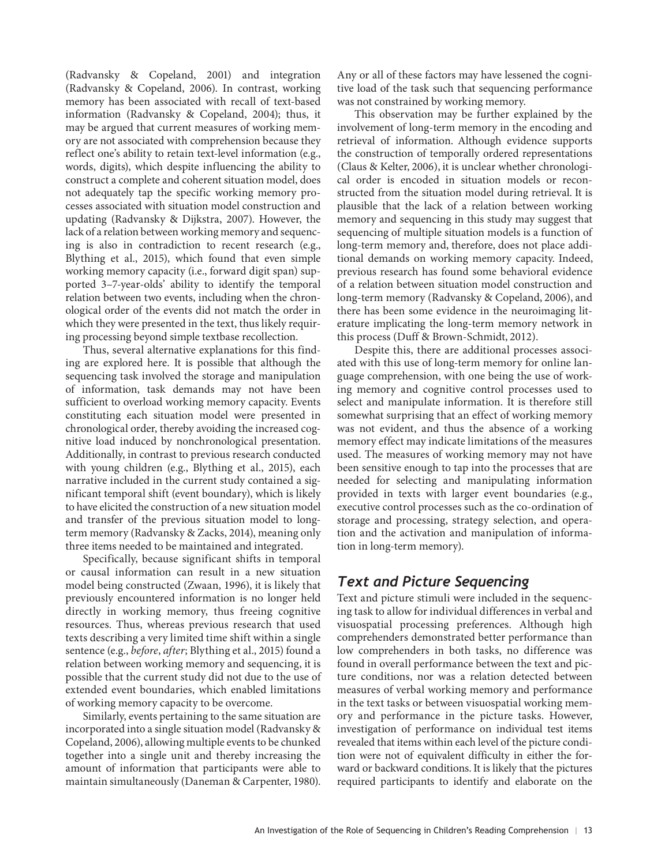(Radvansky & Copeland, 2001) and integration (Radvansky & Copeland, 2006). In contrast, working memory has been associated with recall of text-based information (Radvansky & Copeland, 2004); thus, it may be argued that current measures of working memory are not associated with comprehension because they reflect one's ability to retain text-level information (e.g., words, digits), which despite influencing the ability to construct a complete and coherent situation model, does not adequately tap the specific working memory processes associated with situation model construction and updating (Radvansky & Dijkstra, 2007). However, the lack of a relation between working memory and sequencing is also in contradiction to recent research (e.g., Blything et al., 2015), which found that even simple working memory capacity (i.e., forward digit span) supported 3–7-year-olds' ability to identify the temporal relation between two events, including when the chronological order of the events did not match the order in which they were presented in the text, thus likely requiring processing beyond simple textbase recollection.

Thus, several alternative explanations for this finding are explored here. It is possible that although the sequencing task involved the storage and manipulation of information, task demands may not have been sufficient to overload working memory capacity. Events constituting each situation model were presented in chronological order, thereby avoiding the increased cognitive load induced by nonchronological presentation. Additionally, in contrast to previous research conducted with young children (e.g., Blything et al., 2015), each narrative included in the current study contained a significant temporal shift (event boundary), which is likely to have elicited the construction of a new situation model and transfer of the previous situation model to longterm memory (Radvansky & Zacks, 2014), meaning only three items needed to be maintained and integrated.

Specifically, because significant shifts in temporal or causal information can result in a new situation model being constructed (Zwaan, 1996), it is likely that previously encountered information is no longer held directly in working memory, thus freeing cognitive resources. Thus, whereas previous research that used texts describing a very limited time shift within a single sentence (e.g., *before*, *after*; Blything et al., 2015) found a relation between working memory and sequencing, it is possible that the current study did not due to the use of extended event boundaries, which enabled limitations of working memory capacity to be overcome.

Similarly, events pertaining to the same situation are incorporated into a single situation model (Radvansky & Copeland, 2006), allowing multiple events to be chunked together into a single unit and thereby increasing the amount of information that participants were able to maintain simultaneously (Daneman & Carpenter, 1980).

Any or all of these factors may have lessened the cognitive load of the task such that sequencing performance was not constrained by working memory.

This observation may be further explained by the involvement of long-term memory in the encoding and retrieval of information. Although evidence supports the construction of temporally ordered representations (Claus & Kelter, 2006), it is unclear whether chronological order is encoded in situation models or reconstructed from the situation model during retrieval. It is plausible that the lack of a relation between working memory and sequencing in this study may suggest that sequencing of multiple situation models is a function of long-term memory and, therefore, does not place additional demands on working memory capacity. Indeed, previous research has found some behavioral evidence of a relation between situation model construction and long-term memory (Radvansky & Copeland, 2006), and there has been some evidence in the neuroimaging literature implicating the long-term memory network in this process (Duff & Brown-Schmidt, 2012).

Despite this, there are additional processes associated with this use of long-term memory for online language comprehension, with one being the use of working memory and cognitive control processes used to select and manipulate information. It is therefore still somewhat surprising that an effect of working memory was not evident, and thus the absence of a working memory effect may indicate limitations of the measures used. The measures of working memory may not have been sensitive enough to tap into the processes that are needed for selecting and manipulating information provided in texts with larger event boundaries (e.g., executive control processes such as the co-ordination of storage and processing, strategy selection, and operation and the activation and manipulation of information in long-term memory).

## *Text and Picture Sequencing*

Text and picture stimuli were included in the sequencing task to allow for individual differences in verbal and visuospatial processing preferences. Although high comprehenders demonstrated better performance than low comprehenders in both tasks, no difference was found in overall performance between the text and picture conditions, nor was a relation detected between measures of verbal working memory and performance in the text tasks or between visuospatial working memory and performance in the picture tasks. However, investigation of performance on individual test items revealed that items within each level of the picture condition were not of equivalent difficulty in either the forward or backward conditions. It is likely that the pictures required participants to identify and elaborate on the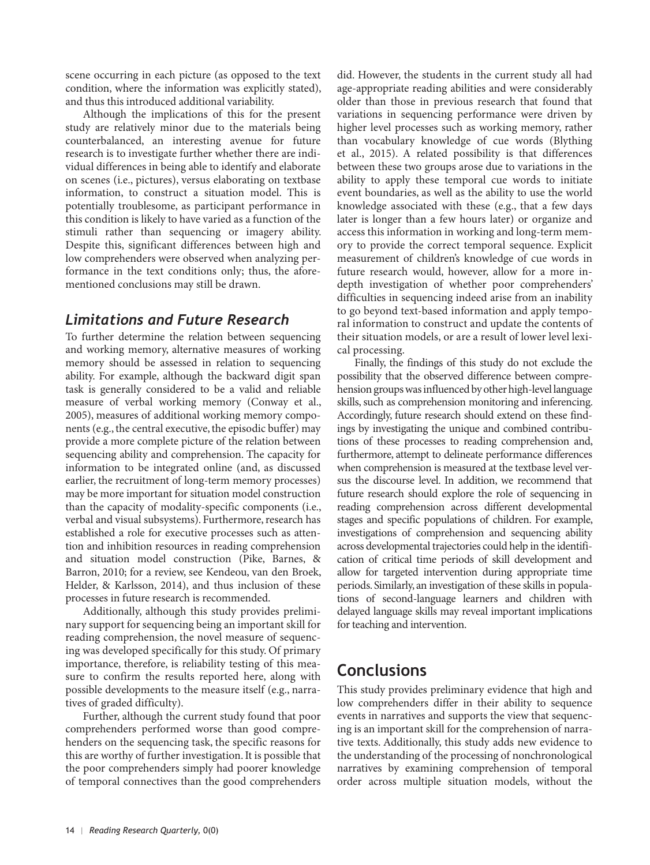scene occurring in each picture (as opposed to the text condition, where the information was explicitly stated), and thus this introduced additional variability.

Although the implications of this for the present study are relatively minor due to the materials being counterbalanced, an interesting avenue for future research is to investigate further whether there are individual differences in being able to identify and elaborate on scenes (i.e., pictures), versus elaborating on textbase information, to construct a situation model. This is potentially troublesome, as participant performance in this condition is likely to have varied as a function of the stimuli rather than sequencing or imagery ability. Despite this, significant differences between high and low comprehenders were observed when analyzing performance in the text conditions only; thus, the aforementioned conclusions may still be drawn.

## *Limitations and Future Research*

To further determine the relation between sequencing and working memory, alternative measures of working memory should be assessed in relation to sequencing ability. For example, although the backward digit span task is generally considered to be a valid and reliable measure of verbal working memory (Conway et al., 2005), measures of additional working memory components (e.g., the central executive, the episodic buffer) may provide a more complete picture of the relation between sequencing ability and comprehension. The capacity for information to be integrated online (and, as discussed earlier, the recruitment of long-term memory processes) may be more important for situation model construction than the capacity of modality-specific components (i.e., verbal and visual subsystems). Furthermore, research has established a role for executive processes such as attention and inhibition resources in reading comprehension and situation model construction (Pike, Barnes, & Barron, 2010; for a review, see Kendeou, van den Broek, Helder, & Karlsson, 2014), and thus inclusion of these processes in future research is recommended.

Additionally, although this study provides preliminary support for sequencing being an important skill for reading comprehension, the novel measure of sequencing was developed specifically for this study. Of primary importance, therefore, is reliability testing of this measure to confirm the results reported here, along with possible developments to the measure itself (e.g., narratives of graded difficulty).

Further, although the current study found that poor comprehenders performed worse than good comprehenders on the sequencing task, the specific reasons for this are worthy of further investigation. It is possible that the poor comprehenders simply had poorer knowledge of temporal connectives than the good comprehenders

did. However, the students in the current study all had age-appropriate reading abilities and were considerably older than those in previous research that found that variations in sequencing performance were driven by higher level processes such as working memory, rather than vocabulary knowledge of cue words (Blything et al., 2015). A related possibility is that differences between these two groups arose due to variations in the ability to apply these temporal cue words to initiate event boundaries, as well as the ability to use the world knowledge associated with these (e.g., that a few days later is longer than a few hours later) or organize and access this information in working and long-term memory to provide the correct temporal sequence. Explicit measurement of children's knowledge of cue words in future research would, however, allow for a more indepth investigation of whether poor comprehenders' difficulties in sequencing indeed arise from an inability to go beyond text-based information and apply temporal information to construct and update the contents of their situation models, or are a result of lower level lexical processing.

Finally, the findings of this study do not exclude the possibility that the observed difference between comprehension groups was influenced by other high-level language skills, such as comprehension monitoring and inferencing. Accordingly, future research should extend on these findings by investigating the unique and combined contributions of these processes to reading comprehension and, furthermore, attempt to delineate performance differences when comprehension is measured at the textbase level versus the discourse level. In addition, we recommend that future research should explore the role of sequencing in reading comprehension across different developmental stages and specific populations of children. For example, investigations of comprehension and sequencing ability across developmental trajectories could help in the identification of critical time periods of skill development and allow for targeted intervention during appropriate time periods. Similarly, an investigation of these skills in populations of second-language learners and children with delayed language skills may reveal important implications for teaching and intervention.

# **Conclusions**

This study provides preliminary evidence that high and low comprehenders differ in their ability to sequence events in narratives and supports the view that sequencing is an important skill for the comprehension of narrative texts. Additionally, this study adds new evidence to the understanding of the processing of nonchronological narratives by examining comprehension of temporal order across multiple situation models, without the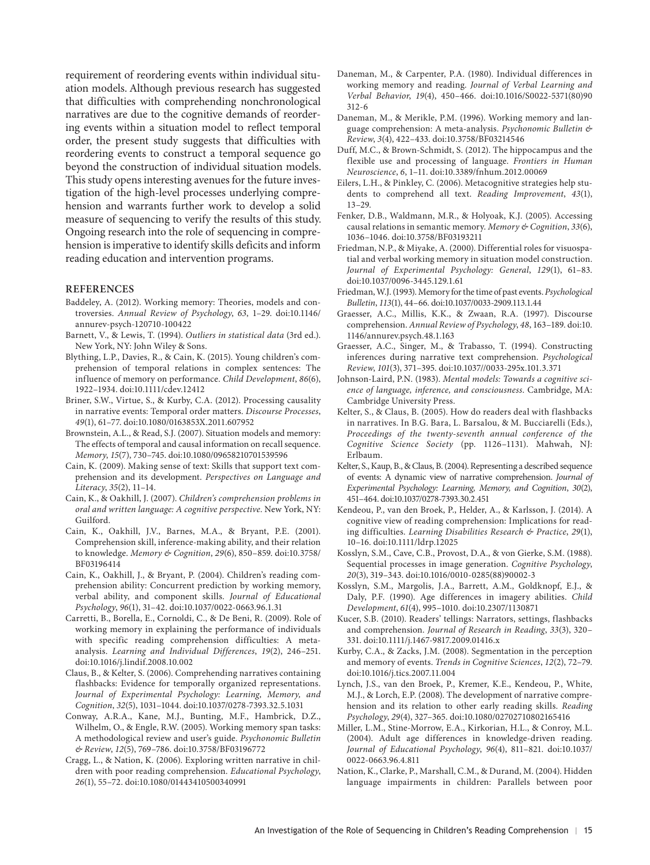requirement of reordering events within individual situation models. Although previous research has suggested that difficulties with comprehending nonchronological narratives are due to the cognitive demands of reordering events within a situation model to reflect temporal order, the present study suggests that difficulties with reordering events to construct a temporal sequence go beyond the construction of individual situation models. This study opens interesting avenues for the future investigation of the high-level processes underlying comprehension and warrants further work to develop a solid measure of sequencing to verify the results of this study. Ongoing research into the role of sequencing in comprehension is imperative to identify skills deficits and inform reading education and intervention programs.

#### **REFERENCES**

- Baddeley, A. (2012). Working memory: Theories, models and controversies. *Annual Review of Psychology*, *63*, 1–29. doi:[10.1146/](https://doi.org/10.1146/annurev-psych-120710-100422) [annurev-psych-120710-100422](https://doi.org/10.1146/annurev-psych-120710-100422)
- Barnett, V., & Lewis, T. (1994). *Outliers in statistical data* (3rd ed.). New York, NY: John Wiley & Sons.
- Blything, L.P., Davies, R., & Cain, K. (2015). Young children's comprehension of temporal relations in complex sentences: The influence of memory on performance. *Child Development*, *86*(6), 1922–1934. doi:[10.1111/cdev.12412](https://doi.org/10.1111/cdev.12412)
- Briner, S.W., Virtue, S., & Kurby, C.A. (2012). Processing causality in narrative events: Temporal order matters. *Discourse Processes*, *49*(1), 61–77. doi[:10.1080/0163853X.2011.607952](https://doi.org/10.1080/0163853X.2011.607952)
- Brownstein, A.L., & Read, S.J. (2007). Situation models and memory: The effects of temporal and causal information on recall sequence. *Memory*, *15*(7), 730–745. doi[:10.1080/09658210701539596](https://doi.org/10.1080/09658210701539596)
- Cain, K. (2009). Making sense of text: Skills that support text comprehension and its development. *Perspectives on Language and Literacy*, *35*(2), 11–14.
- Cain, K., & Oakhill, J. (2007). *Children's comprehension problems in oral and written language: A cognitive perspective*. New York, NY: Guilford.
- Cain, K., Oakhill, J.V., Barnes, M.A., & Bryant, P.E. (2001). Comprehension skill, inference-making ability, and their relation to knowledge. *Memory & Cognition*, *29*(6), 850–859. doi[:10.3758/](https://doi.org/10.3758/BF03196414) [BF03196414](https://doi.org/10.3758/BF03196414)
- Cain, K., Oakhill, J., & Bryant, P. (2004). Children's reading comprehension ability: Concurrent prediction by working memory, verbal ability, and component skills. *Journal of Educational Psychology*, *96*(1), 31–42. doi[:10.1037/0022-0663.96.1.31](https://doi.org/10.1037/0022-0663.96.1.31)
- Carretti, B., Borella, E., Cornoldi, C., & De Beni, R. (2009). Role of working memory in explaining the performance of individuals with specific reading comprehension difficulties: A metaanalysis. *Learning and Individual Differences*, *19*(2), 246–251. doi[:10.1016/j.lindif.2008.10.002](https://doi.org/10.1016/j.lindif.2008.10.002)
- Claus, B., & Kelter, S. (2006). Comprehending narratives containing flashbacks: Evidence for temporally organized representations. *Journal of Experimental Psychology: Learning, Memory, and Cognition*, *32*(5), 1031–1044. doi[:10.1037/0278-7393.32.5.1031](https://doi.org/10.1037/0278-7393.32.5.1031)
- Conway, A.R.A., Kane, M.J., Bunting, M.F., Hambrick, D.Z., Wilhelm, O., & Engle, R.W. (2005). Working memory span tasks: A methodological review and user's guide. *Psychonomic Bulletin & Review*, *12*(5), 769–786. doi[:10.3758/BF03196772](https://doi.org/10.3758/BF03196772)
- Cragg, L., & Nation, K. (2006). Exploring written narrative in children with poor reading comprehension. *Educational Psychology*, *26*(1), 55–72. doi:[10.1080/01443410500340991](https://doi.org/10.1080/01443410500340991)
- Daneman, M., & Carpenter, P.A. (1980). Individual differences in working memory and reading. *Journal of Verbal Learning and Verbal Behavior*, *19*(4), 450–466. doi:[10.1016/S0022-5371\(80\)90](https://doi.org/10.1016/S0022-5371(80)90312-6) [312-6](https://doi.org/10.1016/S0022-5371(80)90312-6)
- Daneman, M., & Merikle, P.M. (1996). Working memory and language comprehension: A meta-analysis. *Psychonomic Bulletin & Review*, *3*(4), 422–433. doi[:10.3758/BF03214546](https://doi.org/10.3758/BF03214546)
- Duff, M.C., & Brown-Schmidt, S. (2012). The hippocampus and the flexible use and processing of language. *Frontiers in Human Neuroscience*, *6*, 1–11. doi[:10.3389/fnhum.2012.00069](https://doi.org/10.3389/fnhum.2012.00069)
- Eilers, L.H., & Pinkley, C. (2006). Metacognitive strategies help students to comprehend all text. *Reading Improvement*, *43*(1), 13–29.
- Fenker, D.B., Waldmann, M.R., & Holyoak, K.J. (2005). Accessing causal relations in semantic memory. *Memory & Cognition*, *33*(6), 1036–1046. doi[:10.3758/BF03193211](https://doi.org/10.3758/BF03193211)
- Friedman, N.P., & Miyake, A. (2000). Differential roles for visuospatial and verbal working memory in situation model construction. *Journal of Experimental Psychology: General*, *129*(1), 61–83. doi[:10.1037/0096-3445.129.1.61](https://doi.org/10.1037/0096-3445.129.1.61)
- Friedman, W.J. (1993). Memory for the time of past events. *Psychological Bulletin*, *113*(1), 44–66. doi[:10.1037/0033-2909.113.1.44](https://doi.org/10.1037/0033-2909.113.1.44)
- Graesser, A.C., Millis, K.K., & Zwaan, R.A. (1997). Discourse comprehension. *Annual Review of Psychology*, *48*, 163–189. doi[:10.](https://doi.org/10.1146/annurev.psych.48.1.163) [1146/annurev.psych.48.1.163](https://doi.org/10.1146/annurev.psych.48.1.163)
- Graesser, A.C., Singer, M., & Trabasso, T. (1994). Constructing inferences during narrative text comprehension. *Psychological Review*, *101*(3), 371–395. doi[:10.1037//0033-295x.101.3.371](https://doi.org/10.1037/)
- Johnson-Laird, P.N. (1983). *Mental models: Towards a cognitive science of language, inference, and consciousness*. Cambridge, MA: Cambridge University Press.
- Kelter, S., & Claus, B. (2005). How do readers deal with flashbacks in narratives. In B.G. Bara, L. Barsalou, & M. Bucciarelli (Eds.), *Proceedings of the twenty-seventh annual conference of the Cognitive Science Society* (pp. 1126–1131). Mahwah, NJ: Erlbaum.
- Kelter, S., Kaup, B., & Claus, B. (2004). Representing a described sequence of events: A dynamic view of narrative comprehension. *Journal of Experimental Psychology: Learning, Memory, and Cognition*, *30*(2), 451–464. doi[:10.1037/0278-7393.30.2.451](https://doi.org/10.1037/0278-7393.30.2.451)
- Kendeou, P., van den Broek, P., Helder, A., & Karlsson, J. (2014). A cognitive view of reading comprehension: Implications for reading difficulties. *Learning Disabilities Research & Practice*, *29*(1), 10–16. doi[:10.1111/ldrp.12025](https://doi.org/10.1111/ldrp.12025)
- Kosslyn, S.M., Cave, C.B., Provost, D.A., & von Gierke, S.M. (1988). Sequential processes in image generation. *Cognitive Psychology*, *20*(3), 319–343. doi[:10.1016/0010-0285\(88\)90002-3](https://doi.org/10.1016/0010-0285(88)90002-3)
- Kosslyn, S.M., Margolis, J.A., Barrett, A.M., Goldknopf, E.J., & Daly, P.F. (1990). Age differences in imagery abilities. *Child Development*, *61*(4), 995–1010. doi:[10.2307/1130871](https://doi.org/10.2307/1130871)
- Kucer, S.B. (2010). Readers' tellings: Narrators, settings, flashbacks and comprehension. *Journal of Research in Reading*, *33*(3), 320– 331. doi[:10.1111/j.1467-9817.2009.01416.x](https://doi.org/10.1111/j.1467-9817.2009.01416.x)
- Kurby, C.A., & Zacks, J.M. (2008). Segmentation in the perception and memory of events. *Trends in Cognitive Sciences*, *12*(2), 72–79. doi[:10.1016/j.tics.2007.11.004](https://doi.org/10.1016/j.tics.2007.11.004)
- Lynch, J.S., van den Broek, P., Kremer, K.E., Kendeou, P., White, M.J., & Lorch, E.P. (2008). The development of narrative comprehension and its relation to other early reading skills. *Reading Psychology*, *29*(4), 327–365. doi[:10.1080/02702710802165416](https://doi.org/10.1080/02702710802165416)
- Miller, L.M., Stine-Morrow, E.A., Kirkorian, H.L., & Conroy, M.L. (2004). Adult age differences in knowledge-driven reading. *Journal of Educational Psychology*, *96*(4), 811–821. doi[:10.1037/](https://doi.org/10.1037/0022-0663.96.4.811) [0022-0663.96.4.811](https://doi.org/10.1037/0022-0663.96.4.811)
- Nation, K., Clarke, P., Marshall, C.M., & Durand, M. (2004). Hidden language impairments in children: Parallels between poor